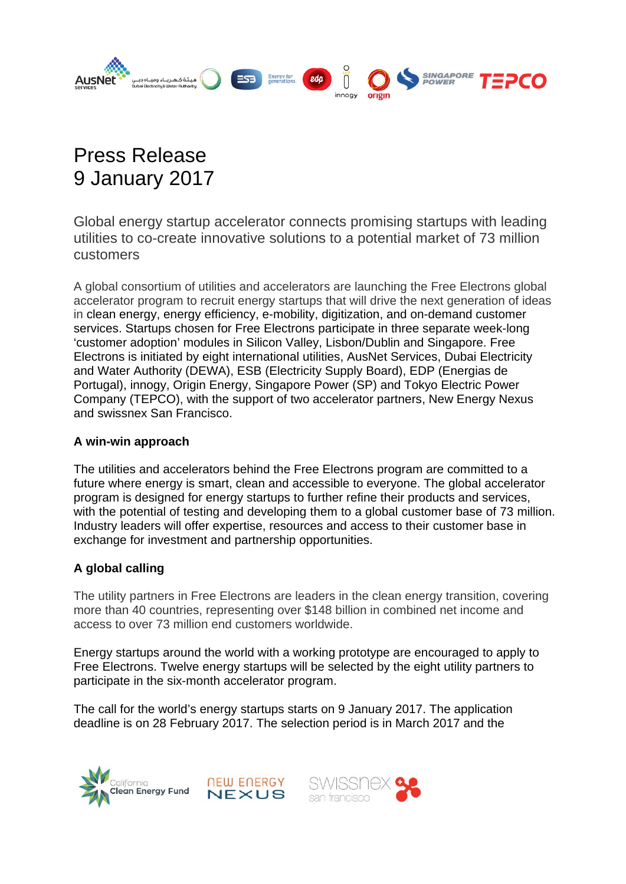

# Press Release 9 January 2017

Global energy startup accelerator connects promising startups with leading utilities to co-create innovative solutions to a potential market of 73 million customers

A global consortium of utilities and accelerators are launching the Free Electrons global accelerator program to recruit energy startups that will drive the next generation of ideas in clean energy, energy efficiency, e-mobility, digitization, and on-demand customer services. Startups chosen for Free Electrons participate in three separate week-long 'customer adoption' modules in Silicon Valley, Lisbon/Dublin and Singapore. Free Electrons is initiated by eight international utilities, AusNet Services, Dubai Electricity and Water Authority (DEWA), ESB (Electricity Supply Board), EDP (Energias de Portugal), innogy, Origin Energy, Singapore Power (SP) and Tokyo Electric Power Company (TEPCO), with the support of two accelerator partners, New Energy Nexus and swissnex San Francisco.

# **A win-win approach**

The utilities and accelerators behind the Free Electrons program are committed to a future where energy is smart, clean and accessible to everyone. The global accelerator program is designed for energy startups to further refine their products and services, with the potential of testing and developing them to a global customer base of 73 million. Industry leaders will offer expertise, resources and access to their customer base in exchange for investment and partnership opportunities.

# **A global calling**

The utility partners in Free Electrons are leaders in the clean energy transition, covering more than 40 countries, representing over \$148 billion in combined net income and access to over 73 million end customers worldwide.

Energy startups around the world with a working prototype are encouraged to apply to Free Electrons. Twelve energy startups will be selected by the eight utility partners to participate in the six-month accelerator program.

The call for the world's energy startups starts on 9 January 2017. The application deadline is on 28 February 2017. The selection period is in March 2017 and the

*NEW ENERGY* 

**NEXUS** 



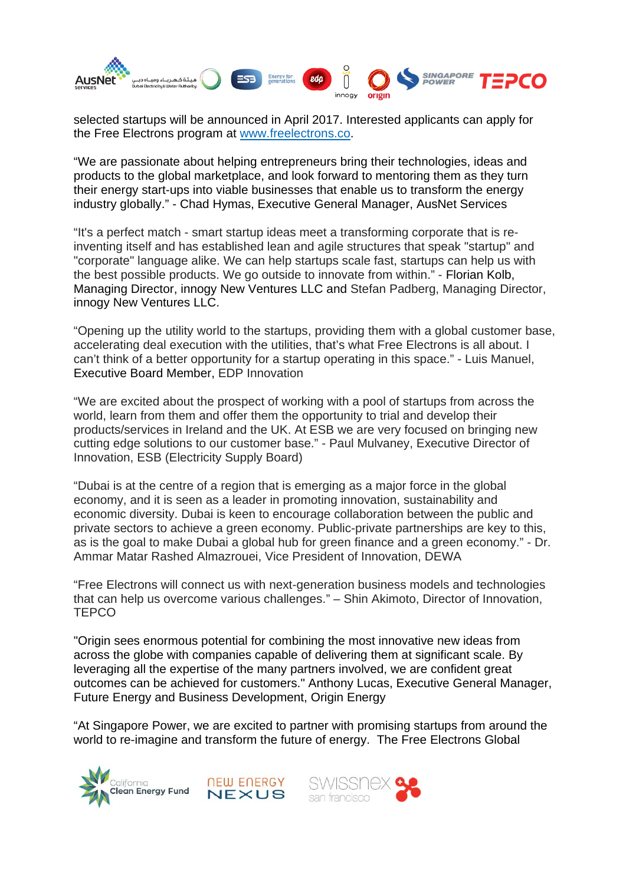

selected startups will be announced in April 2017. Interested applicants can apply for the Free Electrons program at [www.freelectrons.co.](http://www.freelectrons.co) 

"We are passionate about helping entrepreneurs bring their technologies, ideas and products to the global marketplace, and look forward to mentoring them as they turn their energy start-ups into viable businesses that enable us to transform the energy industry globally." - Chad Hymas, Executive General Manager, AusNet Services

"It's a perfect match - smart startup ideas meet a transforming corporate that is reinventing itself and has established lean and agile structures that speak "startup" and "corporate" language alike. We can help startups scale fast, startups can help us with the best possible products. We go outside to innovate from within." - Florian Kolb, Managing Director, innogy New Ventures LLC and Stefan Padberg, Managing Director, innogy New Ventures LLC.

"Opening up the utility world to the startups, providing them with a global customer base, accelerating deal execution with the utilities, that's what Free Electrons is all about. I can't think of a better opportunity for a startup operating in this space." - Luis Manuel, Executive Board Member, EDP Innovation

"We are excited about the prospect of working with a pool of startups from across the world, learn from them and offer them the opportunity to trial and develop their products/services in Ireland and the UK. At ESB we are very focused on bringing new cutting edge solutions to our customer base." - Paul Mulvaney, Executive Director of Innovation, ESB (Electricity Supply Board)

"Dubai is at the centre of a region that is emerging as a major force in the global economy, and it is seen as a leader in promoting innovation, sustainability and economic diversity. Dubai is keen to encourage collaboration between the public and private sectors to achieve a green economy. Public-private partnerships are key to this, as is the goal to make Dubai a global hub for green finance and a green economy." - Dr. Ammar Matar Rashed Almazrouei, Vice President of Innovation, DEWA

"Free Electrons will connect us with next-generation business models and technologies that can help us overcome various challenges." – Shin Akimoto, Director of Innovation, **TEPCO** 

"Origin sees enormous potential for combining the most innovative new ideas from across the globe with companies capable of delivering them at significant scale. By leveraging all the expertise of the many partners involved, we are confident great outcomes can be achieved for customers." Anthony Lucas, Executive General Manager, Future Energy and Business Development, Origin Energy

"At Singapore Power, we are excited to partner with promising startups from around the world to re-imagine and transform the future of energy. The Free Electrons Global

**NEW ENERGY** 

**NEXUS** 



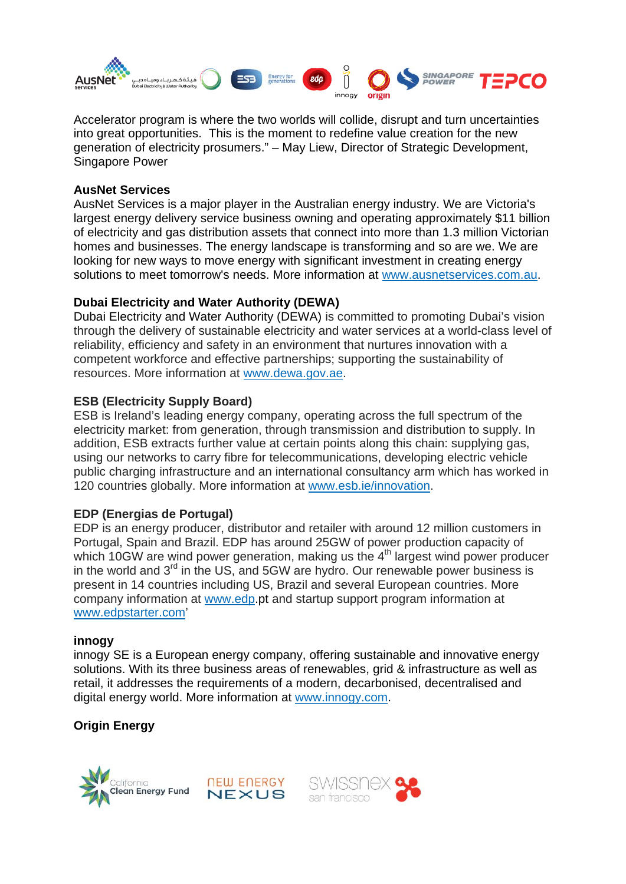

Accelerator program is where the two worlds will collide, disrupt and turn uncertainties into great opportunities. This is the moment to redefine value creation for the new generation of electricity prosumers." – May Liew, Director of Strategic Development, Singapore Power

### **AusNet Services**

AusNet Services is a major player in the Australian energy industry. We are Victoria's largest energy delivery service business owning and operating approximately \$11 billion of electricity and gas distribution assets that connect into more than 1.3 million Victorian homes and businesses. The energy landscape is transforming and so are we. We are looking for new ways to move energy with significant investment in creating energy solutions to meet tomorrow's needs. More information at [www.ausnetservices.com.au.](http://www.ausnetservices.com.au) 

## **Dubai Electricity and Water Authority (DEWA)**

Dubai Electricity and Water Authority (DEWA) is committed to promoting Dubai's vision through the delivery of sustainable electricity and water services at a world-class level of reliability, efficiency and safety in an environment that nurtures innovation with a competent workforce and effective partnerships; supporting the sustainability of resources. More information at [www.dewa.gov.ae.](http://www.dewa.gov.ae) 

## **ESB (Electricity Supply Board)**

ESB is Ireland's leading energy company, operating across the full spectrum of the electricity market: from generation, through transmission and distribution to supply. In addition, ESB extracts further value at certain points along this chain: supplying gas, using our networks to carry fibre for telecommunications, developing electric vehicle public charging infrastructure and an international consultancy arm which has worked in 120 countries globally. More information at [www.esb.ie/innovation.](http://www.esb.ie/innovation) 

#### **EDP (Energias de Portugal)**

EDP is an energy producer, distributor and retailer with around 12 million customers in Portugal, Spain and Brazil. EDP has around 25GW of power production capacity of which 10GW are wind power generation, making us the  $4<sup>th</sup>$  largest wind power producer in the world and 3rd in the US, and 5GW are hydro. Our renewable power business is present in 14 countries including US, Brazil and several European countries. More company information at [www.edp.pt an](http://www.edp.pt)d startup support program information at [www.edpstarter.com'](http://www.edpstarter.com) 

#### **innogy**

innogy SE is a European energy company, offering sustainable and innovative energy solutions. With its three business areas of renewables, grid & infrastructure as well as retail, it addresses the requirements of a modern, decarbonised, decentralised and digital energy world. More information at [www.innogy.com.](http://www.innogy.com) 

## **Origin Energy**





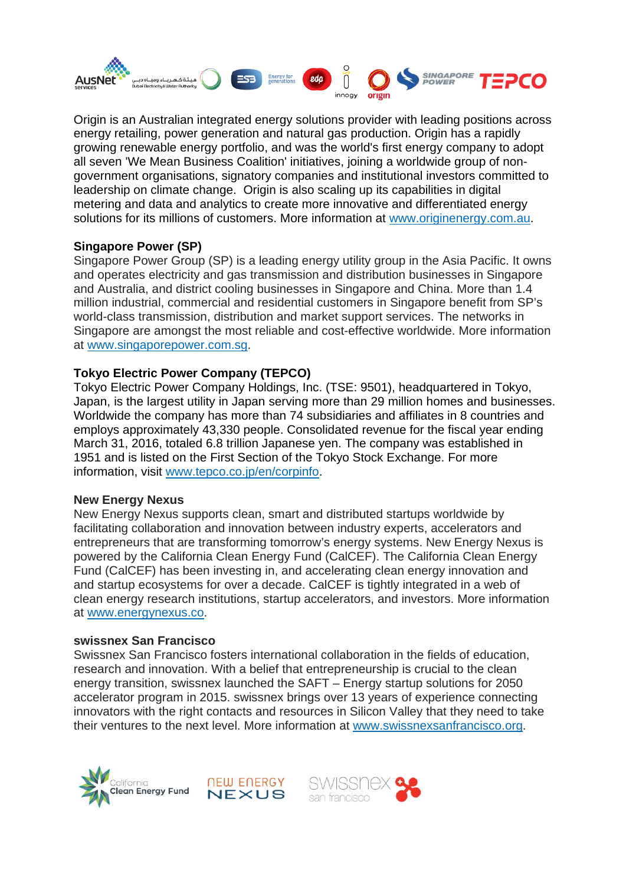

Origin is an Australian integrated energy solutions provider with leading positions across energy retailing, power generation and natural gas production. Origin has a rapidly growing renewable energy portfolio, and was the world's first energy company to adopt all seven 'We Mean Business Coalition' initiatives, joining a worldwide group of nongovernment organisations, signatory companies and institutional investors committed to leadership on climate change. Origin is also scaling up its capabilities in digital metering and data and analytics to create more innovative and differentiated energy solutions for its millions of customers. More information at [www.originenergy.com.au.](http://www.originenergy.com.au) 

# **Singapore Power (SP)**

Singapore Power Group (SP) is a leading energy utility group in the Asia Pacific. It owns and operates electricity and gas transmission and distribution businesses in Singapore and Australia, and district cooling businesses in Singapore and China. More than 1.4 million industrial, commercial and residential customers in Singapore benefit from SP's world-class transmission, distribution and market support services. The networks in Singapore are amongst the most reliable and cost-effective worldwide. More information at [www.singaporepower.com.sg.](http://www.singaporepower.com.sg) 

## **Tokyo Electric Power Company (TEPCO)**

Tokyo Electric Power Company Holdings, Inc. (TSE: 9501), headquartered in Tokyo, Japan, is the largest utility in Japan serving more than 29 million homes and businesses. Worldwide the company has more than 74 subsidiaries and affiliates in 8 countries and employs approximately 43,330 people. Consolidated revenue for the fiscal year ending March 31, 2016, totaled 6.8 trillion Japanese yen. The company was established in 1951 and is listed on the First Section of the Tokyo Stock Exchange. For more information, visit [www.tepco.co.jp/en/corpinfo.](http://www.tepco.co.jp/en/corpinfo) 

## **New Energy Nexus**

New Energy Nexus supports clean, smart and distributed startups worldwide by facilitating collaboration and innovation between industry experts, accelerators and entrepreneurs that are transforming tomorrow's energy systems. New Energy Nexus is powered by the California Clean Energy Fund (CalCEF). The California Clean Energy Fund (CalCEF) has been investing in, and accelerating clean energy innovation and and startup ecosystems for over a decade. CalCEF is tightly integrated in a web of clean energy research institutions, startup accelerators, and investors. More information at [www.energynexus.co.](http://www.energynexus.co)

#### **swissnex San Francisco**

Swissnex San Francisco fosters international collaboration in the fields of education, research and innovation. With a belief that entrepreneurship is crucial to the clean energy transition, swissnex launched the SAFT – Energy startup solutions for 2050 accelerator program in 2015. swissnex brings over 13 years of experience connecting innovators with the right contacts and resources in Silicon Valley that they need to take their ventures to the next level. More information at [www.swissnexsanfrancisco.org.](http://www.swissnexsanfrancisco.org)

**NEW ENERGY** 

**NEXUS**